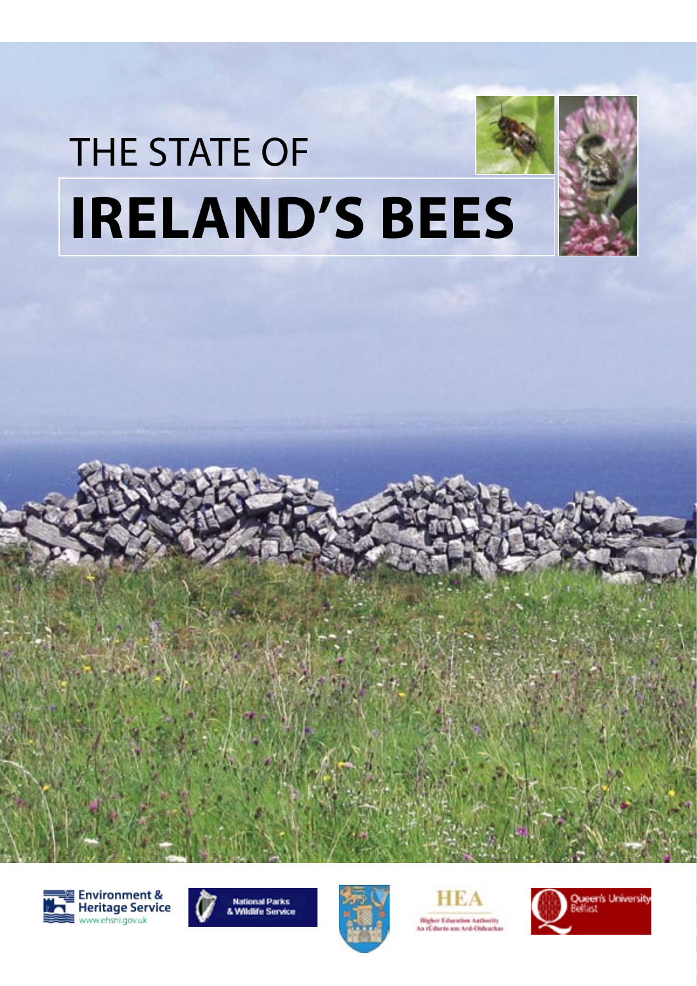# THE STATE OF **IRELAND'S BEES**













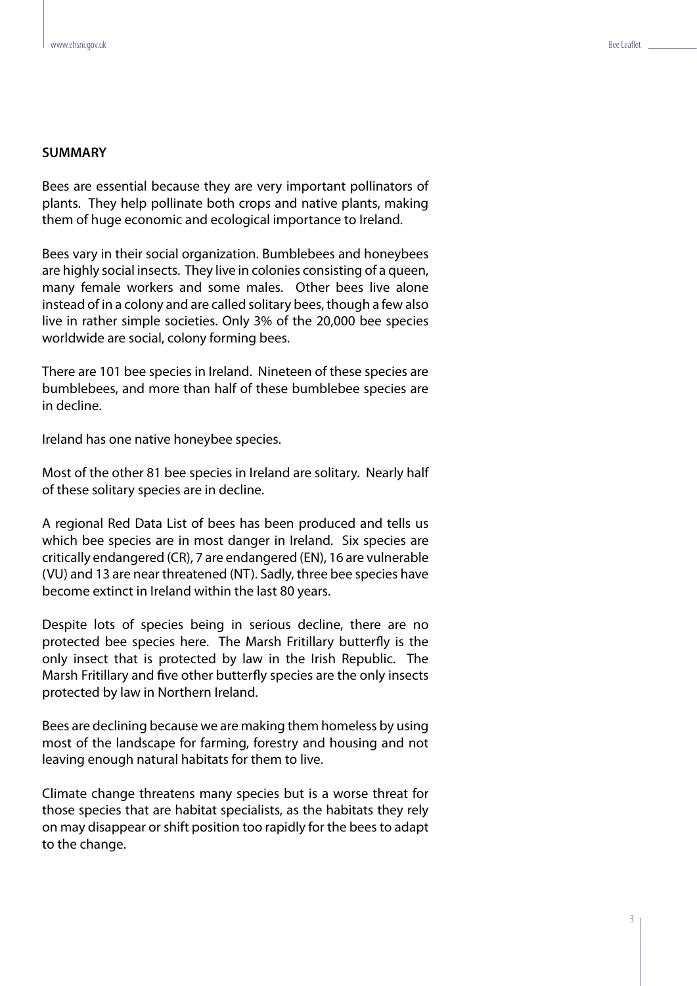# **SUMMARY**

Bees are essential because they are very important pollinators of plants. They help pollinate both crops and native plants, making them of huge economic and ecological importance to Ireland.

Bees vary in their social organization. Bumblebees and honeybees are highly social insects. They live in colonies consisting of a queen, many female workers and some males. Other bees live alone instead of in a colony and are called solitary bees, though a few also live in rather simple societies. Only 3% of the 20,000 bee species worldwide are social, colony forming bees.

There are 101 bee species in Ireland. Nineteen of these species are bumblebees, and more than half of these bumblebee species are in decline.

Ireland has one native honeybee species.

Most of the other 81 bee species in Ireland are solitary. Nearly half of these solitary species are in decline.

A regional Red Data List of bees has been produced and tells us which bee species are in most danger in Ireland. Six species are critically endangered (CR), 7 are endangered (EN), 16 are vulnerable (VU) and 13 are near threatened (NT). Sadly, three bee species have become extinct in Ireland within the last 80 years.

Despite lots of species being in serious decline, there are no protected bee species here. The Marsh Fritillary butterfly is the only insect that is protected by law in the Irish Republic. The Marsh Fritillary and five other butterfly species are the only insects protected by law in Northern Ireland.

Bees are declining because we are making them homeless by using most of the landscape for farming, forestry and housing and not leaving enough natural habitats for them to live.

Climate change threatens many species but is a worse threat for those species that are habitat specialists, as the habitats they rely on may disappear or shift position too rapidly for the bees to adapt to the change.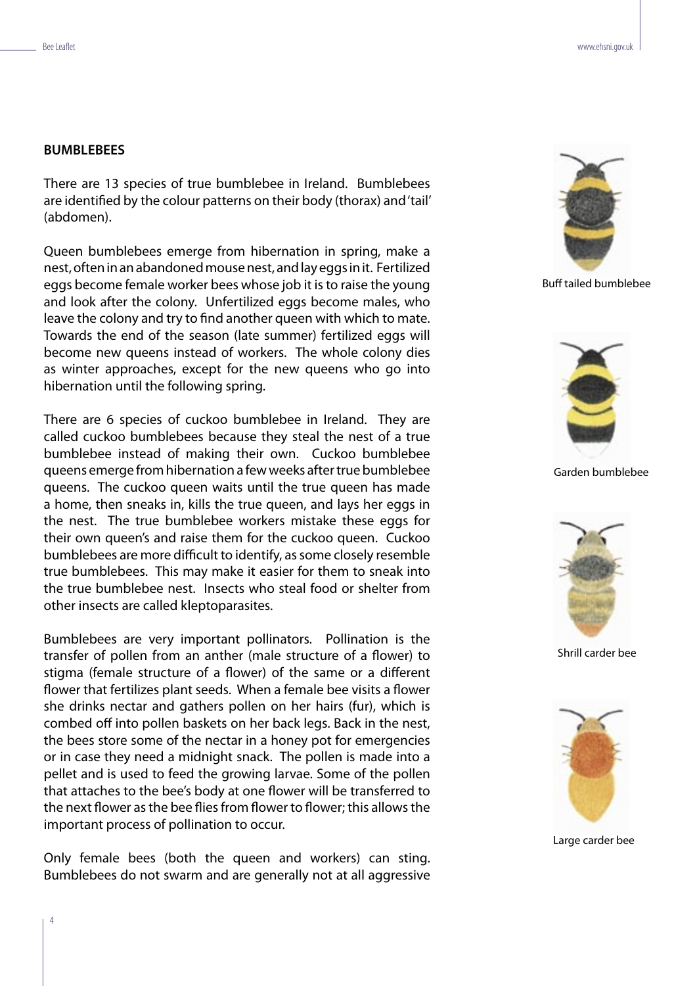## **BUMBLEBEES**

There are 13 species of true bumblebee in Ireland. Bumblebees are identified by the colour patterns on their body (thorax) and 'tail' (abdomen).

Queen bumblebees emerge from hibernation in spring, make a nest, often in an abandoned mouse nest, and lay eggs in it. Fertilized eggs become female worker bees whose job it is to raise the young and look after the colony. Unfertilized eggs become males, who leave the colony and try to find another queen with which to mate. Towards the end of the season (late summer) fertilized eggs will become new queens instead of workers. The whole colony dies as winter approaches, except for the new queens who go into hibernation until the following spring.

There are 6 species of cuckoo bumblebee in Ireland. They are called cuckoo bumblebees because they steal the nest of a true bumblebee instead of making their own. Cuckoo bumblebee queens emerge from hibernation a few weeks after true bumblebee queens. The cuckoo queen waits until the true queen has made a home, then sneaks in, kills the true queen, and lays her eggs in the nest. The true bumblebee workers mistake these eggs for their own queen's and raise them for the cuckoo queen. Cuckoo bumblebees are more difficult to identify, as some closely resemble true bumblebees. This may make it easier for them to sneak into the true bumblebee nest. Insects who steal food or shelter from other insects are called kleptoparasites.

Bumblebees are very important pollinators. Pollination is the transfer of pollen from an anther (male structure of a flower) to stigma (female structure of a flower) of the same or a different flower that fertilizes plant seeds. When a female bee visits a flower she drinks nectar and gathers pollen on her hairs (fur), which is combed off into pollen baskets on her back legs. Back in the nest, the bees store some of the nectar in a honey pot for emergencies or in case they need a midnight snack. The pollen is made into a pellet and is used to feed the growing larvae. Some of the pollen that attaches to the bee's body at one flower will be transferred to the next flower as the bee flies from flower to flower; this allows the important process of pollination to occur.

Only female bees (both the queen and workers) can sting. Bumblebees do not swarm and are generally not at all aggressive



Buff tailed bumblebee



Garden bumblebee



Shrill carder bee



Large carder bee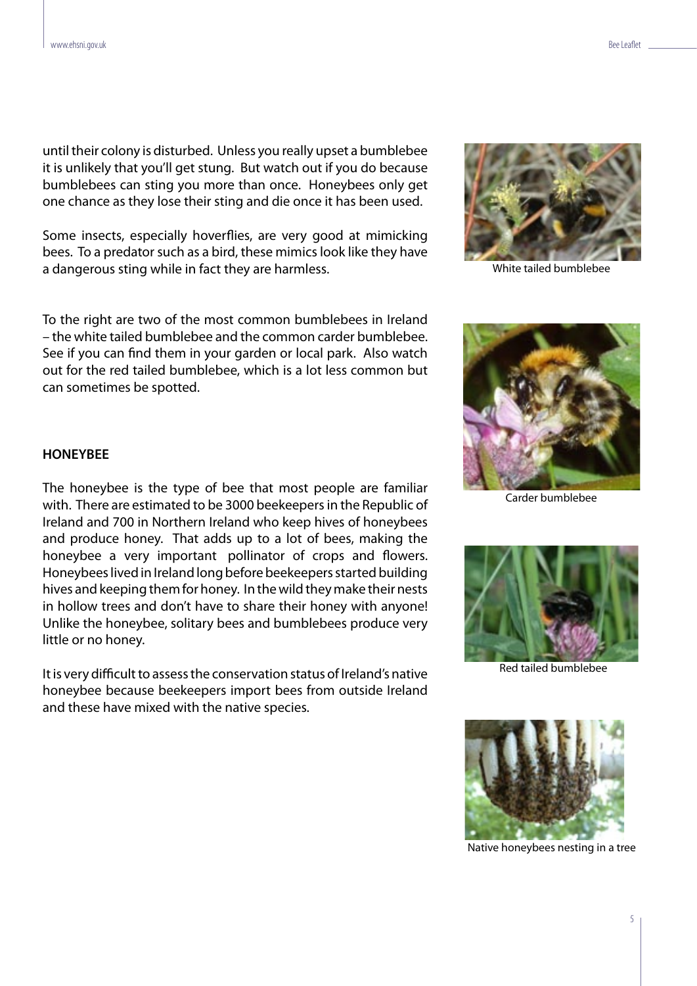until their colony is disturbed. Unless you really upset a bumblebee it is unlikely that you'll get stung. But watch out if you do because bumblebees can sting you more than once. Honeybees only get one chance as they lose their sting and die once it has been used.

Some insects, especially hoverflies, are very good at mimicking bees. To a predator such as a bird, these mimics look like they have a dangerous sting while in fact they are harmless.

To the right are two of the most common bumblebees in Ireland – the white tailed bumblebee and the common carder bumblebee. See if you can find them in your garden or local park. Also watch out for the red tailed bumblebee, which is a lot less common but can sometimes be spotted.



White tailed bumblebee



Carder bumblebee

# **HONEYBEE**

The honeybee is the type of bee that most people are familiar with. There are estimated to be 3000 beekeepers in the Republic of Ireland and 700 in Northern Ireland who keep hives of honeybees and produce honey. That adds up to a lot of bees, making the honeybee a very important pollinator of crops and flowers. Honeybees lived in Ireland long before beekeepers started building hives and keeping them for honey. In the wild they make their nests in hollow trees and don't have to share their honey with anyone! Unlike the honeybee, solitary bees and bumblebees produce very little or no honey.

It is very difficult to assess the conservation status of Ireland's native honeybee because beekeepers import bees from outside Ireland and these have mixed with the native species.



Red tailed bumblebee



Native honeybees nesting in a tree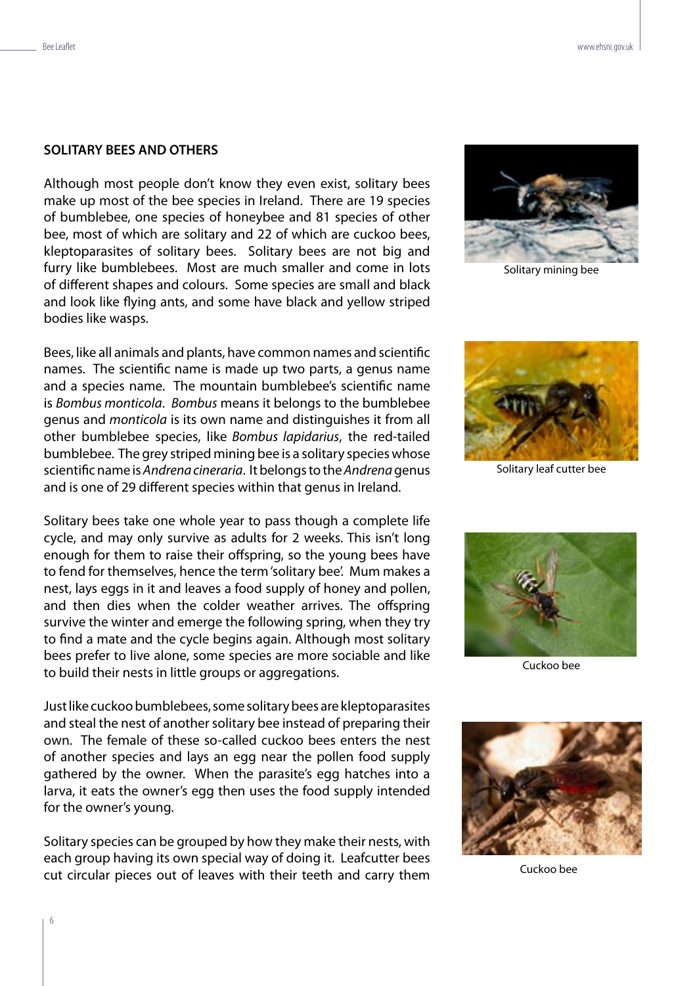#### **SOLITARY BEES AND OTHERS**

Although most people don't know they even exist, solitary bees make up most of the bee species in Ireland. There are 19 species of bumblebee, one species of honeybee and 81 species of other bee, most of which are solitary and 22 of which are cuckoo bees, kleptoparasites of solitary bees. Solitary bees are not big and furry like bumblebees. Most are much smaller and come in lots of different shapes and colours. Some species are small and black and look like flying ants, and some have black and yellow striped bodies like wasps.

Bees, like all animals and plants, have common names and scientific names. The scientific name is made up two parts, a genus name and a species name. The mountain bumblebee's scientific name is Bombus monticola. Bombus means it belongs to the bumblebee genus and monticola is its own name and distinguishes it from all other bumblebee species, like Bombus lapidarius, the red-tailed bumblebee. The grey striped mining bee is a solitary species whose scientific name is Andrena cineraria. It belongs to the Andrena genus and is one of 29 different species within that genus in Ireland.

Solitary bees take one whole year to pass though a complete life cycle, and may only survive as adults for 2 weeks. This isn't long enough for them to raise their offspring, so the young bees have to fend for themselves, hence the term 'solitary bee'. Mum makes a nest, lays eggs in it and leaves a food supply of honey and pollen, and then dies when the colder weather arrives. The offspring survive the winter and emerge the following spring, when they try to find a mate and the cycle begins again. Although most solitary bees prefer to live alone, some species are more sociable and like to build their nests in little groups or aggregations.

Just like cuckoo bumblebees, some solitary bees are kleptoparasites and steal the nest of another solitary bee instead of preparing their own. The female of these so-called cuckoo bees enters the nest of another species and lays an egg near the pollen food supply gathered by the owner. When the parasite's egg hatches into a larva, it eats the owner's egg then uses the food supply intended for the owner's young.

Solitary species can be grouped by how they make their nests, with each group having its own special way of doing it. Leafcutter bees cut circular pieces out of leaves with their teeth and carry them



Solitary mining bee



Solitary leaf cutter bee



Cuckoo bee



Cuckoo bee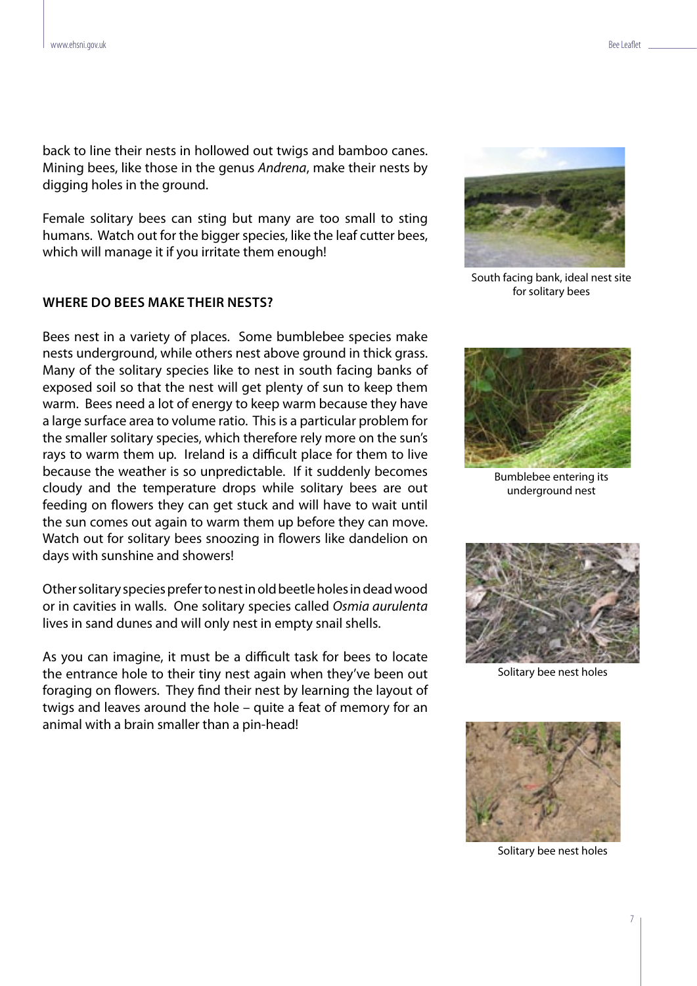back to line their nests in hollowed out twigs and bamboo canes. Mining bees, like those in the genus Andrena, make their nests by digging holes in the ground.

Female solitary bees can sting but many are too small to sting humans. Watch out for the bigger species, like the leaf cutter bees, which will manage it if you irritate them enough!

#### **WHERE DO BEES MAKE THEIR NESTS?**

Bees nest in a variety of places. Some bumblebee species make nests underground, while others nest above ground in thick grass. Many of the solitary species like to nest in south facing banks of exposed soil so that the nest will get plenty of sun to keep them warm. Bees need a lot of energy to keep warm because they have a large surface area to volume ratio. This is a particular problem for the smaller solitary species, which therefore rely more on the sun's rays to warm them up. Ireland is a difficult place for them to live because the weather is so unpredictable. If it suddenly becomes cloudy and the temperature drops while solitary bees are out feeding on flowers they can get stuck and will have to wait until the sun comes out again to warm them up before they can move. Watch out for solitary bees snoozing in flowers like dandelion on days with sunshine and showers!

Other solitary species prefer to nest in old beetle holes in dead wood or in cavities in walls. One solitary species called Osmia aurulenta lives in sand dunes and will only nest in empty snail shells.

As you can imagine, it must be a difficult task for bees to locate the entrance hole to their tiny nest again when they've been out foraging on flowers. They find their nest by learning the layout of twigs and leaves around the hole – quite a feat of memory for an animal with a brain smaller than a pin-head!



South facing bank, ideal nest site for solitary bees



Bumblebee entering its underground nest



Solitary bee nest holes



Solitary bee nest holes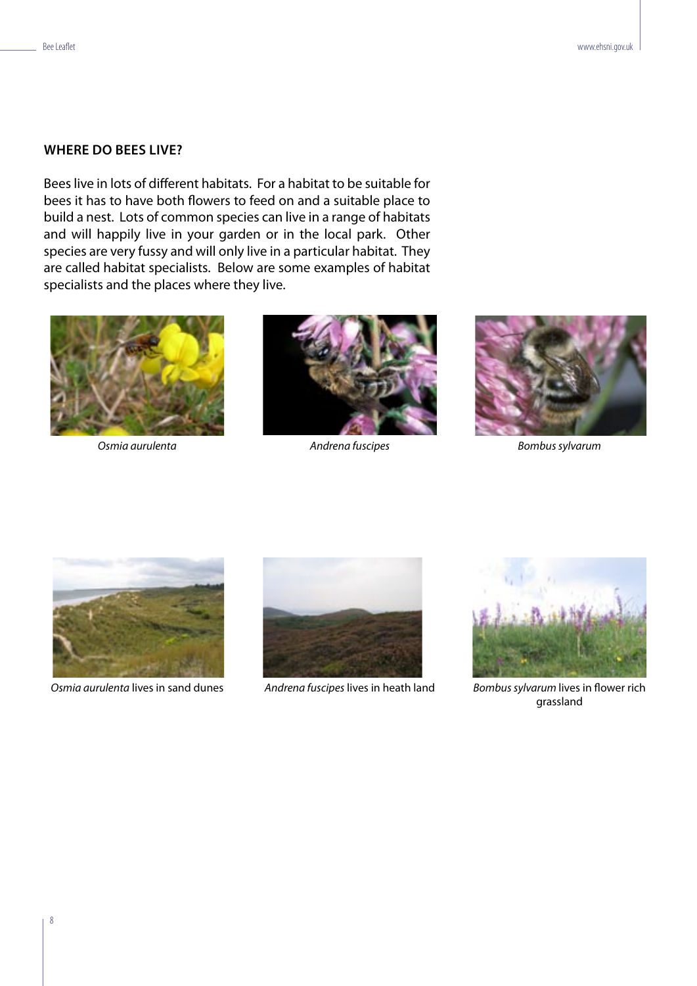# **WHERE DO BEES LIVE?**

Bees live in lots of different habitats. For a habitat to be suitable for bees it has to have both flowers to feed on and a suitable place to build a nest. Lots of common species can live in a range of habitats and will happily live in your garden or in the local park. Other species are very fussy and will only live in a particular habitat. They are called habitat specialists. Below are some examples of habitat specialists and the places where they live.





Osmia aurulenta and andrena fuscipes and a metal bombus sylvarum





Osmia aurulenta lives in sand dunes Andrena fuscipes lives in heath land Bombus sylvarum lives in flower rich





grassland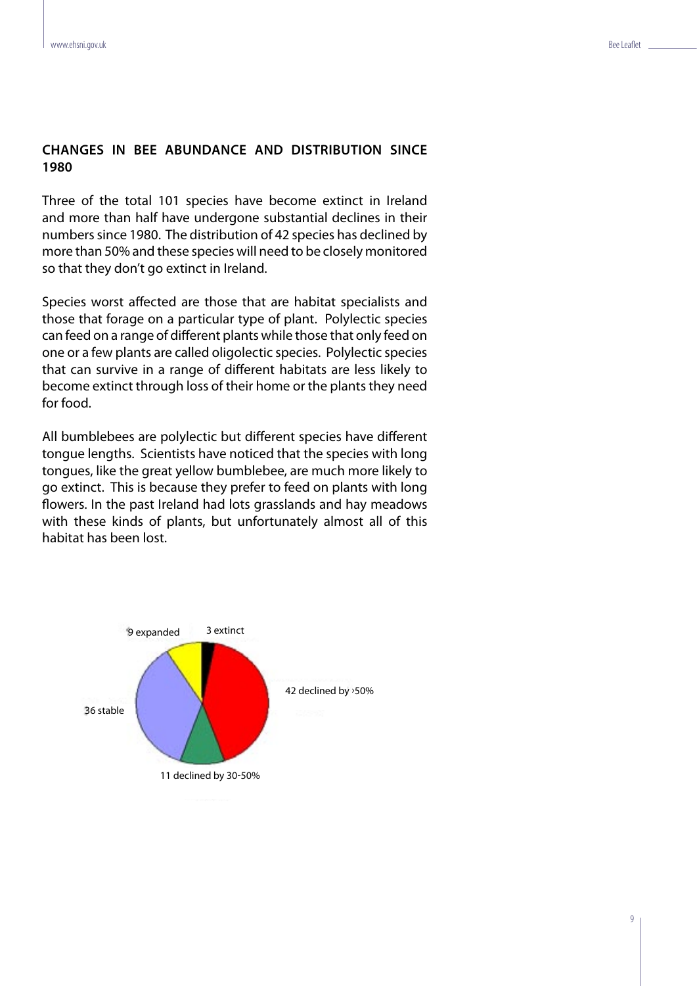# **CHANGES IN BEE ABUNDANCE AND DISTRIBUTION SINCE 1980**

Three of the total 101 species have become extinct in Ireland and more than half have undergone substantial declines in their numbers since 1980. The distribution of 42 species has declined by more than 50% and these species will need to be closely monitored so that they don't go extinct in Ireland.

Species worst affected are those that are habitat specialists and those that forage on a particular type of plant. Polylectic species can feed on a range of different plants while those that only feed on one or a few plants are called oligolectic species. Polylectic species that can survive in a range of different habitats are less likely to become extinct through loss of their home or the plants they need for food.

All bumblebees are polylectic but different species have different tongue lengths. Scientists have noticed that the species with long tongues, like the great yellow bumblebee, are much more likely to go extinct. This is because they prefer to feed on plants with long flowers. In the past Ireland had lots grasslands and hay meadows with these kinds of plants, but unfortunately almost all of this habitat has been lost.

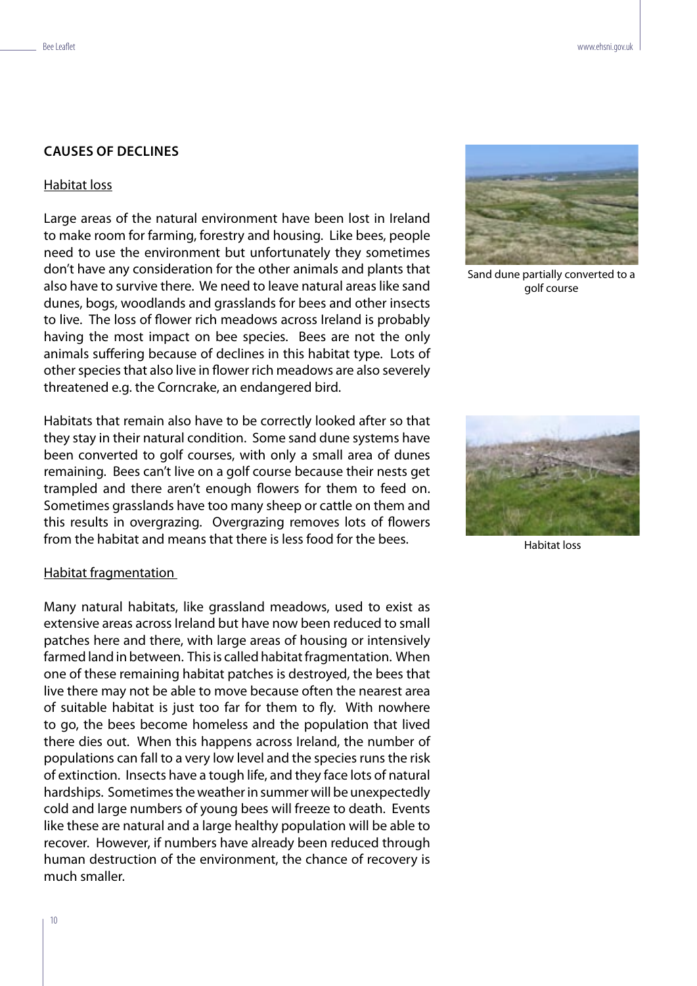#### **CAUSES OF DECLINES**

#### Habitat loss

Large areas of the natural environment have been lost in Ireland to make room for farming, forestry and housing. Like bees, people need to use the environment but unfortunately they sometimes don't have any consideration for the other animals and plants that also have to survive there. We need to leave natural areas like sand dunes, bogs, woodlands and grasslands for bees and other insects to live. The loss of flower rich meadows across Ireland is probably having the most impact on bee species. Bees are not the only animals suffering because of declines in this habitat type. Lots of other species that also live in flower rich meadows are also severely threatened e.g. the Corncrake, an endangered bird.

Habitats that remain also have to be correctly looked after so that they stay in their natural condition. Some sand dune systems have been converted to golf courses, with only a small area of dunes remaining. Bees can't live on a golf course because their nests get trampled and there aren't enough flowers for them to feed on. Sometimes grasslands have too many sheep or cattle on them and this results in overgrazing. Overgrazing removes lots of flowers from the habitat and means that there is less food for the bees.

#### Habitat fragmentation

Many natural habitats, like grassland meadows, used to exist as extensive areas across Ireland but have now been reduced to small patches here and there, with large areas of housing or intensively farmed land in between. This is called habitat fragmentation. When one of these remaining habitat patches is destroyed, the bees that live there may not be able to move because often the nearest area of suitable habitat is just too far for them to fly. With nowhere to go, the bees become homeless and the population that lived there dies out. When this happens across Ireland, the number of populations can fall to a very low level and the species runs the risk of extinction. Insects have a tough life, and they face lots of natural hardships. Sometimes the weather in summer will be unexpectedly cold and large numbers of young bees will freeze to death. Events like these are natural and a large healthy population will be able to recover. However, if numbers have already been reduced through human destruction of the environment, the chance of recovery is much smaller.



Sand dune partially converted to a golf course



Habitat loss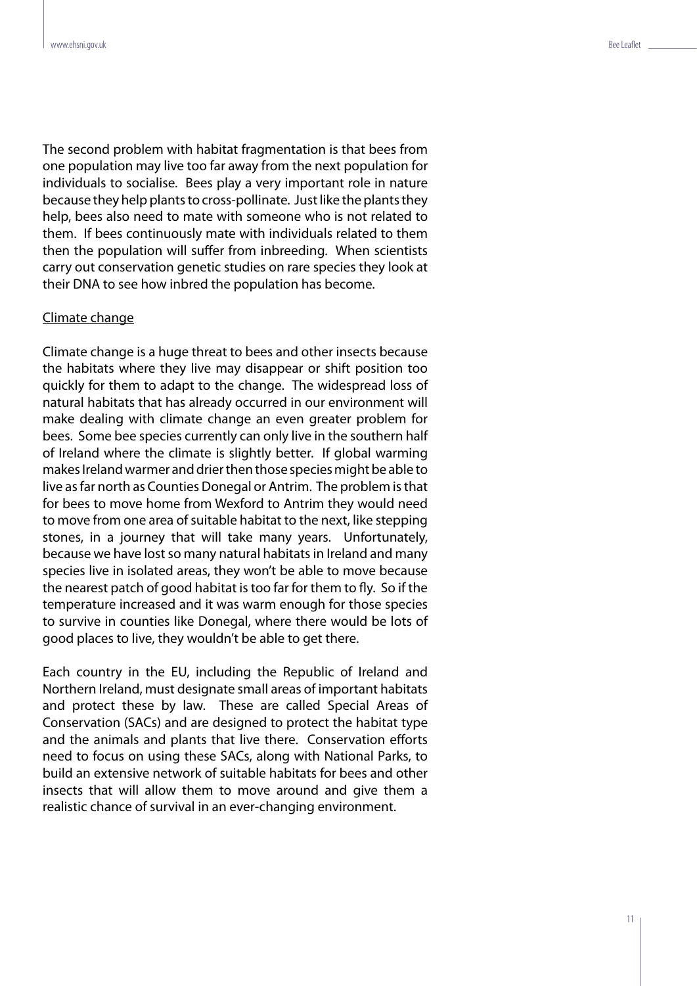The second problem with habitat fragmentation is that bees from one population may live too far away from the next population for individuals to socialise. Bees play a very important role in nature because they help plants to cross-pollinate. Just like the plants they help, bees also need to mate with someone who is not related to them. If bees continuously mate with individuals related to them then the population will suffer from inbreeding. When scientists carry out conservation genetic studies on rare species they look at their DNA to see how inbred the population has become.

#### Climate change

Climate change is a huge threat to bees and other insects because the habitats where they live may disappear or shift position too quickly for them to adapt to the change. The widespread loss of natural habitats that has already occurred in our environment will make dealing with climate change an even greater problem for bees. Some bee species currently can only live in the southern half of Ireland where the climate is slightly better. If global warming makes Ireland warmer and drier then those species might be able to live as far north as Counties Donegal or Antrim. The problem is that for bees to move home from Wexford to Antrim they would need to move from one area of suitable habitat to the next, like stepping stones, in a journey that will take many years. Unfortunately, because we have lost so many natural habitats in Ireland and many species live in isolated areas, they won't be able to move because the nearest patch of good habitat is too far for them to fly. So if the temperature increased and it was warm enough for those species to survive in counties like Donegal, where there would be lots of good places to live, they wouldn't be able to get there.

Each country in the EU, including the Republic of Ireland and Northern Ireland, must designate small areas of important habitats and protect these by law. These are called Special Areas of Conservation (SACs) and are designed to protect the habitat type and the animals and plants that live there. Conservation efforts need to focus on using these SACs, along with National Parks, to build an extensive network of suitable habitats for bees and other insects that will allow them to move around and give them a realistic chance of survival in an ever-changing environment.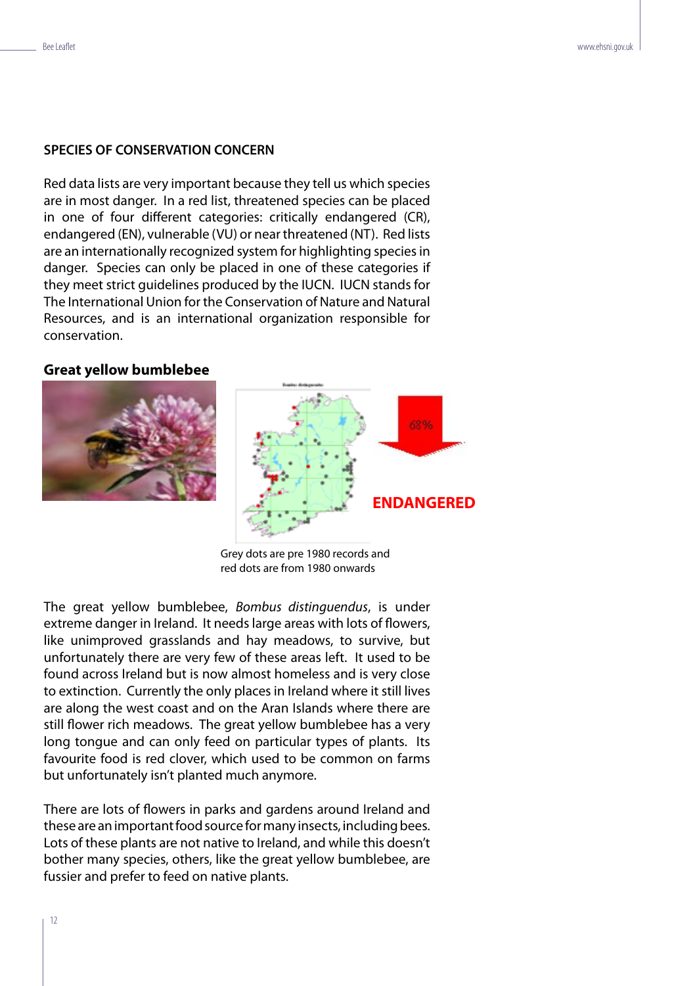# **SPECIES OF CONSERVATION CONCERN**

Red data lists are very important because they tell us which species are in most danger. In a red list, threatened species can be placed in one of four different categories: critically endangered (CR), endangered (EN), vulnerable (VU) or near threatened (NT). Red lists are an internationally recognized system for highlighting species in danger. Species can only be placed in one of these categories if they meet strict guidelines produced by the IUCN. IUCN stands for The International Union for the Conservation of Nature and Natural Resources, and is an international organization responsible for conservation.

### **Great yellow bumblebee**



Grey dots are pre 1980 records and red dots are from 1980 onwards

The great yellow bumblebee, Bombus distinguendus, is under extreme danger in Ireland. It needs large areas with lots of flowers, like unimproved grasslands and hay meadows, to survive, but unfortunately there are very few of these areas left. It used to be found across Ireland but is now almost homeless and is very close to extinction. Currently the only places in Ireland where it still lives are along the west coast and on the Aran Islands where there are still flower rich meadows. The great yellow bumblebee has a very long tongue and can only feed on particular types of plants. Its favourite food is red clover, which used to be common on farms but unfortunately isn't planted much anymore.

There are lots of flowers in parks and gardens around Ireland and these are an important food source for many insects, including bees. Lots of these plants are not native to Ireland, and while this doesn't bother many species, others, like the great yellow bumblebee, are fussier and prefer to feed on native plants.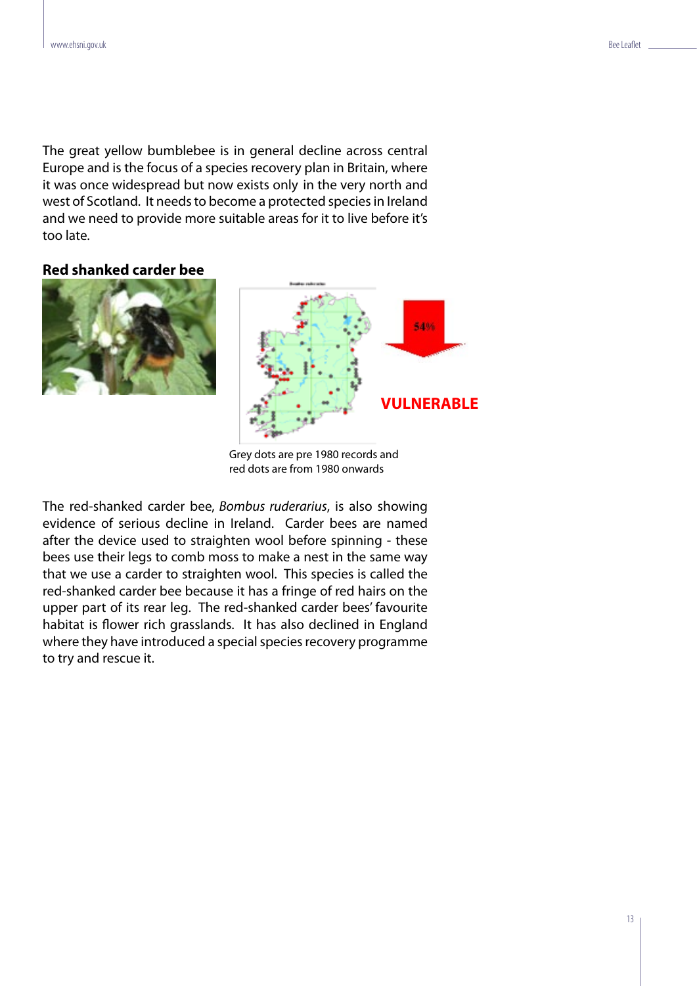The great yellow bumblebee is in general decline across central Europe and is the focus of a species recovery plan in Britain, where it was once widespread but now exists only in the very north and west of Scotland. It needs to become a protected species in Ireland and we need to provide more suitable areas for it to live before it's too late.

**Red shanked carder bee**



Grey dots are pre 1980 records and red dots are from 1980 onwards

The red-shanked carder bee, Bombus ruderarius, is also showing evidence of serious decline in Ireland. Carder bees are named after the device used to straighten wool before spinning - these bees use their legs to comb moss to make a nest in the same way that we use a carder to straighten wool. This species is called the red-shanked carder bee because it has a fringe of red hairs on the upper part of its rear leg. The red-shanked carder bees' favourite habitat is flower rich grasslands. It has also declined in England where they have introduced a special species recovery programme to try and rescue it.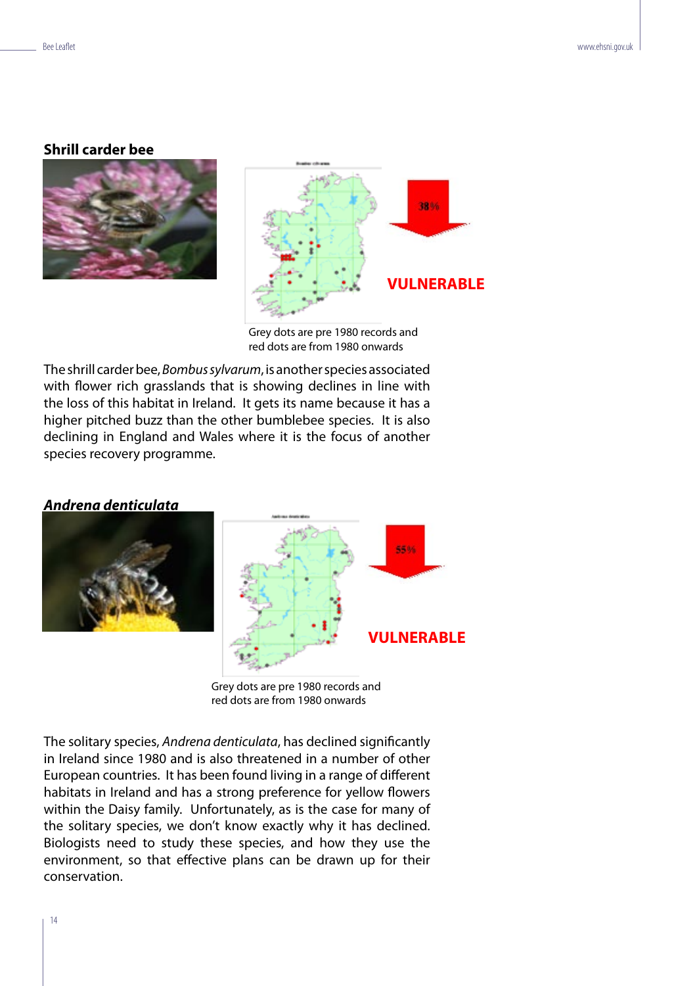#### **Shrill carder bee**





Grey dots are pre 1980 records and red dots are from 1980 onwards

The shrill carder bee, Bombus sylvarum, is another species associated with flower rich grasslands that is showing declines in line with the loss of this habitat in Ireland. It gets its name because it has a higher pitched buzz than the other bumblebee species. It is also declining in England and Wales where it is the focus of another species recovery programme.

# **Andrena denticulata**





Grey dots are pre 1980 records and red dots are from 1980 onwards

The solitary species, Andrena denticulata, has declined significantly in Ireland since 1980 and is also threatened in a number of other European countries. It has been found living in a range of different habitats in Ireland and has a strong preference for yellow flowers within the Daisy family. Unfortunately, as is the case for many of the solitary species, we don't know exactly why it has declined. Biologists need to study these species, and how they use the environment, so that effective plans can be drawn up for their conservation.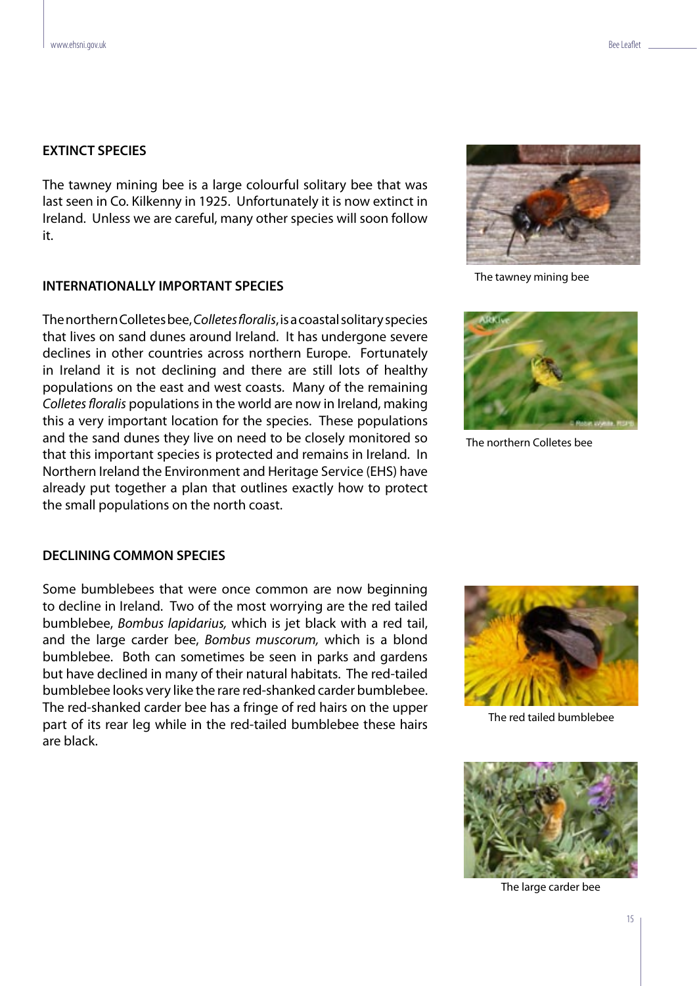### **EXTINCT SPECIES**

The tawney mining bee is a large colourful solitary bee that was last seen in Co. Kilkenny in 1925. Unfortunately it is now extinct in Ireland. Unless we are careful, many other species will soon follow it.

#### **INTERNATIONALLY IMPORTANT SPECIES**

The northern Colletes bee, Colletes floralis, is a coastal solitary species that lives on sand dunes around Ireland. It has undergone severe declines in other countries across northern Europe. Fortunately in Ireland it is not declining and there are still lots of healthy populations on the east and west coasts. Many of the remaining Colletes floralis populations in the world are now in Ireland, making this a very important location for the species. These populations and the sand dunes they live on need to be closely monitored so that this important species is protected and remains in Ireland. In Northern Ireland the Environment and Heritage Service (EHS) have already put together a plan that outlines exactly how to protect the small populations on the north coast.



The tawney mining bee



The northern Colletes bee

#### **DECLINING COMMON SPECIES**

Some bumblebees that were once common are now beginning to decline in Ireland. Two of the most worrying are the red tailed bumblebee, Bombus lapidarius, which is jet black with a red tail, and the large carder bee, Bombus muscorum, which is a blond bumblebee. Both can sometimes be seen in parks and gardens but have declined in many of their natural habitats. The red-tailed bumblebee looks very like the rare red-shanked carder bumblebee. The red-shanked carder bee has a fringe of red hairs on the upper part of its rear leg while in the red-tailed bumblebee these hairs are black.



The red tailed bumblebee



The large carder bee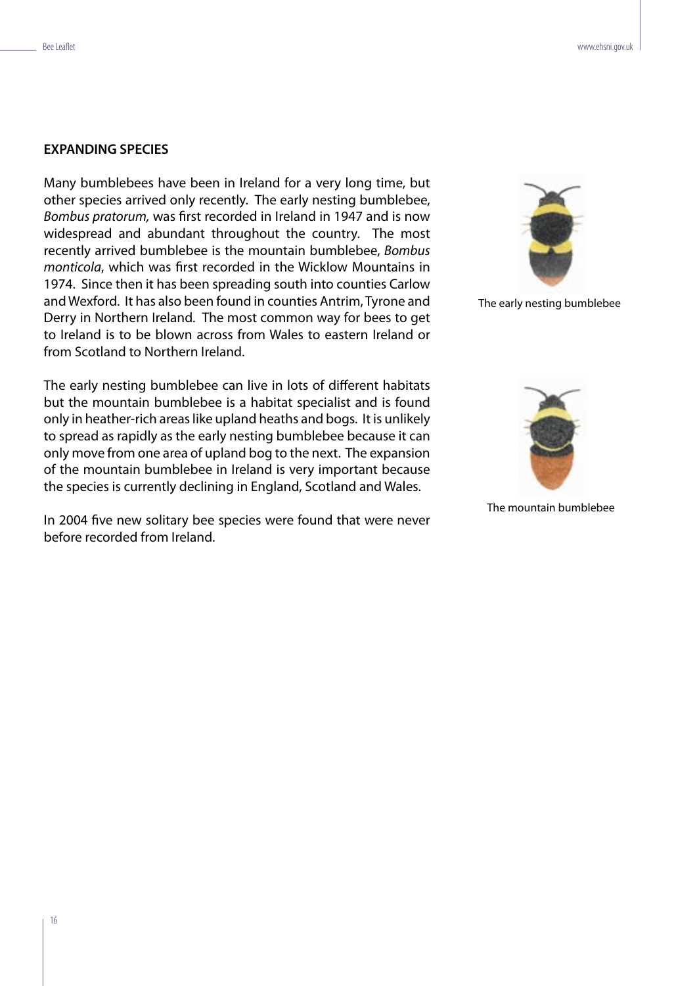# **EXPANDING SPECIES**

Many bumblebees have been in Ireland for a very long time, but other species arrived only recently. The early nesting bumblebee, Bombus pratorum, was first recorded in Ireland in 1947 and is now widespread and abundant throughout the country. The most recently arrived bumblebee is the mountain bumblebee, Bombus monticola, which was first recorded in the Wicklow Mountains in 1974. Since then it has been spreading south into counties Carlow and Wexford. It has also been found in counties Antrim, Tyrone and Derry in Northern Ireland. The most common way for bees to get to Ireland is to be blown across from Wales to eastern Ireland or from Scotland to Northern Ireland.

The early nesting bumblebee can live in lots of different habitats but the mountain bumblebee is a habitat specialist and is found only in heather-rich areas like upland heaths and bogs. It is unlikely to spread as rapidly as the early nesting bumblebee because it can only move from one area of upland bog to the next. The expansion of the mountain bumblebee in Ireland is very important because the species is currently declining in England, Scotland and Wales.

In 2004 five new solitary bee species were found that were never before recorded from Ireland.



The early nesting bumblebee



The mountain bumblebee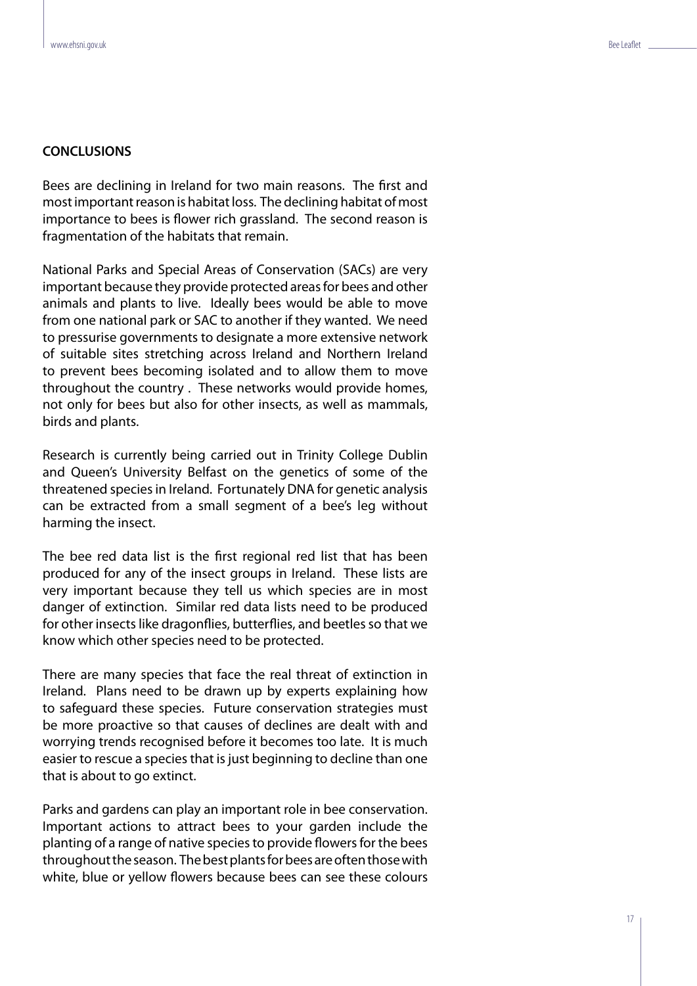#### **CONCLUSIONS**

Bees are declining in Ireland for two main reasons. The first and most important reason is habitat loss. The declining habitat of most importance to bees is flower rich grassland. The second reason is fragmentation of the habitats that remain.

National Parks and Special Areas of Conservation (SACs) are very important because they provide protected areas for bees and other animals and plants to live. Ideally bees would be able to move from one national park or SAC to another if they wanted. We need to pressurise governments to designate a more extensive network of suitable sites stretching across Ireland and Northern Ireland to prevent bees becoming isolated and to allow them to move throughout the country . These networks would provide homes, not only for bees but also for other insects, as well as mammals, birds and plants.

Research is currently being carried out in Trinity College Dublin and Queen's University Belfast on the genetics of some of the threatened species in Ireland. Fortunately DNA for genetic analysis can be extracted from a small segment of a bee's leg without harming the insect.

The bee red data list is the first regional red list that has been produced for any of the insect groups in Ireland. These lists are very important because they tell us which species are in most danger of extinction. Similar red data lists need to be produced for other insects like dragonflies, butterflies, and beetles so that we know which other species need to be protected.

There are many species that face the real threat of extinction in Ireland. Plans need to be drawn up by experts explaining how to safeguard these species. Future conservation strategies must be more proactive so that causes of declines are dealt with and worrying trends recognised before it becomes too late. It is much easier to rescue a species that is just beginning to decline than one that is about to go extinct.

Parks and gardens can play an important role in bee conservation. Important actions to attract bees to your garden include the planting of a range of native species to provide flowers for the bees throughout the season. The best plants for bees are often those with white, blue or yellow flowers because bees can see these colours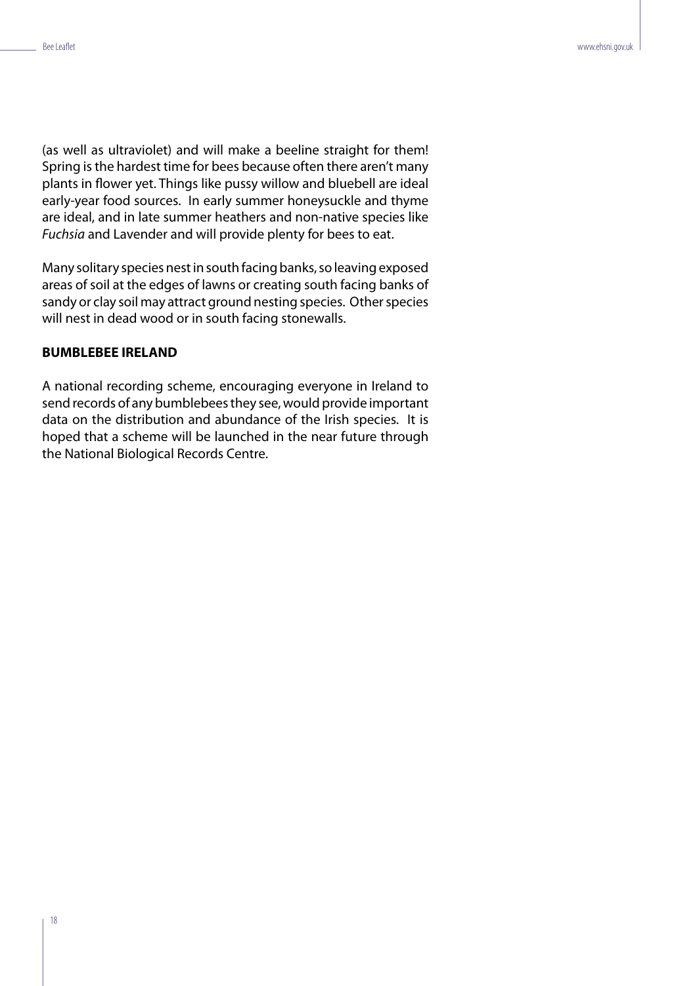(as well as ultraviolet) and will make a beeline straight for them! Spring is the hardest time for bees because often there aren't many plants in flower yet. Things like pussy willow and bluebell are ideal early-year food sources. In early summer honeysuckle and thyme are ideal, and in late summer heathers and non-native species like Fuchsia and Lavender and will provide plenty for bees to eat.

Many solitary species nest in south facing banks, so leaving exposed areas of soil at the edges of lawns or creating south facing banks of sandy or clay soil may attract ground nesting species. Other species will nest in dead wood or in south facing stonewalls.

## **BUMBLEBEE IRELAND**

A national recording scheme, encouraging everyone in Ireland to send records of any bumblebees they see, would provide important data on the distribution and abundance of the Irish species. It is hoped that a scheme will be launched in the near future through the National Biological Records Centre.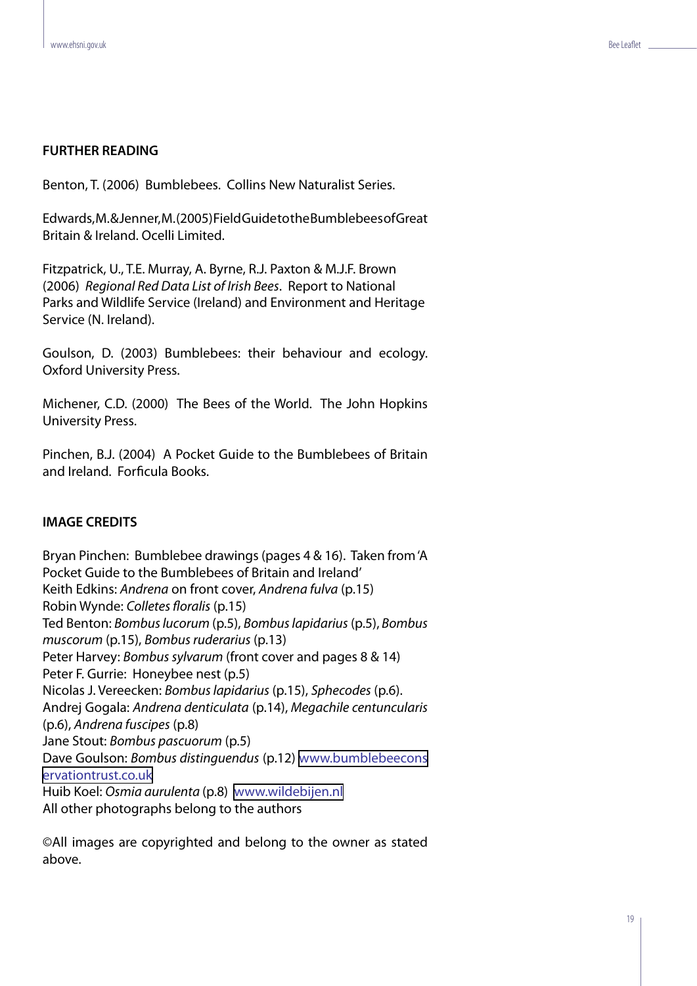# **FURTHER READING**

Benton, T. (2006) Bumblebees. Collins New Naturalist Series.

Edwards, M. & Jenner, M. (2005) Field Guide to the Bumblebees of Great Britain & Ireland. Ocelli Limited.

Fitzpatrick, U., T.E. Murray, A. Byrne, R.J. Paxton & M.J.F. Brown (2006) Regional Red Data List of Irish Bees. Report to National Parks and Wildlife Service (Ireland) and Environment and Heritage Service (N. Ireland).

Goulson, D. (2003) Bumblebees: their behaviour and ecology. Oxford University Press.

Michener, C.D. (2000) The Bees of the World. The John Hopkins University Press.

Pinchen, B.J. (2004) A Pocket Guide to the Bumblebees of Britain and Ireland. Forficula Books.

# **IMAGE CREDITS**

Bryan Pinchen: Bumblebee drawings (pages 4 & 16). Taken from 'A Pocket Guide to the Bumblebees of Britain and Ireland' Keith Edkins: Andrena on front cover, Andrena fulva (p.15) Robin Wynde: Colletes floralis (p.15) Ted Benton: Bombus lucorum (p.5), Bombus lapidarius (p.5), Bombus muscorum (p.15), Bombus ruderarius (p.13) Peter Harvey: Bombus sylvarum (front cover and pages 8 & 14) Peter F. Gurrie: Honeybee nest (p.5) Nicolas J. Vereecken: Bombus lapidarius (p.15), Sphecodes (p.6). Andrej Gogala: Andrena denticulata (p.14), Megachile centuncularis (p.6), Andrena fuscipes (p.8) Jane Stout: Bombus pascuorum (p.5) Dave Goulson: Bombus distinguendus (p.12) [www.bumblebeecons](www.bumblebeeconservationtrust.co.uk ) [ervationtrust.co.uk](www.bumblebeeconservationtrust.co.uk ) Huib Koel: Osmia aurulenta (p.8) <www.wildebijen.nl> All other photographs belong to the authors

©All images are copyrighted and belong to the owner as stated above.